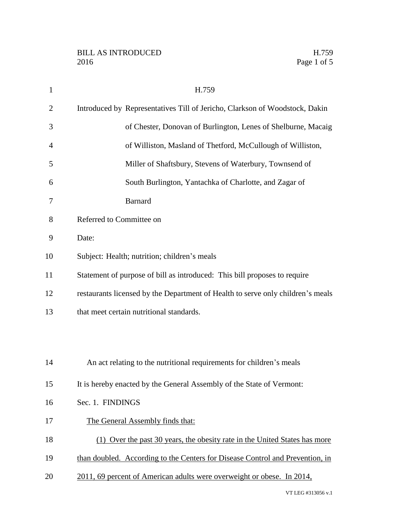| $\mathbf{1}$   | H.759                                                                           |
|----------------|---------------------------------------------------------------------------------|
| $\overline{2}$ | Introduced by Representatives Till of Jericho, Clarkson of Woodstock, Dakin     |
| 3              | of Chester, Donovan of Burlington, Lenes of Shelburne, Macaig                   |
| $\overline{4}$ | of Williston, Masland of Thetford, McCullough of Williston,                     |
| 5              | Miller of Shaftsbury, Stevens of Waterbury, Townsend of                         |
| 6              | South Burlington, Yantachka of Charlotte, and Zagar of                          |
| 7              | <b>Barnard</b>                                                                  |
| 8              | Referred to Committee on                                                        |
| 9              | Date:                                                                           |
| 10             | Subject: Health; nutrition; children's meals                                    |
| 11             | Statement of purpose of bill as introduced: This bill proposes to require       |
| 12             | restaurants licensed by the Department of Health to serve only children's meals |
| 13             | that meet certain nutritional standards.                                        |
|                |                                                                                 |
|                |                                                                                 |
| 14             | An act relating to the nutritional requirements for children's meals            |
| 15             | It is hereby enacted by the General Assembly of the State of Vermont:           |
| 16             | Sec. 1. FINDINGS                                                                |
| 17             | The General Assembly finds that:                                                |
| 18             | (1) Over the past 30 years, the obesity rate in the United States has more      |
| 19             | than doubled. According to the Centers for Disease Control and Prevention, in   |
| 20             | 2011, 69 percent of American adults were overweight or obese. In 2014,          |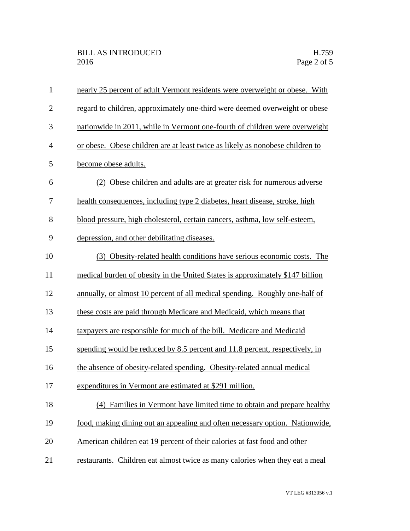| $\mathbf{1}$   | nearly 25 percent of adult Vermont residents were overweight or obese. With   |
|----------------|-------------------------------------------------------------------------------|
| $\overline{2}$ | regard to children, approximately one-third were deemed overweight or obese   |
| 3              | nationwide in 2011, while in Vermont one-fourth of children were overweight   |
| $\overline{4}$ | or obese. Obese children are at least twice as likely as nonobese children to |
| 5              | become obese adults.                                                          |
| 6              | (2) Obese children and adults are at greater risk for numerous adverse        |
| 7              | health consequences, including type 2 diabetes, heart disease, stroke, high   |
| 8              | blood pressure, high cholesterol, certain cancers, asthma, low self-esteem,   |
| 9              | depression, and other debilitating diseases.                                  |
| 10             | (3) Obesity-related health conditions have serious economic costs. The        |
| 11             | medical burden of obesity in the United States is approximately \$147 billion |
| 12             | annually, or almost 10 percent of all medical spending. Roughly one-half of   |
| 13             | these costs are paid through Medicare and Medicaid, which means that          |
| 14             | taxpayers are responsible for much of the bill. Medicare and Medicaid         |
| 15             | spending would be reduced by 8.5 percent and 11.8 percent, respectively, in   |
| 16             | the absence of obesity-related spending. Obesity-related annual medical       |
| 17             | expenditures in Vermont are estimated at \$291 million.                       |
| 18             | (4) Families in Vermont have limited time to obtain and prepare healthy       |
| 19             | food, making dining out an appealing and often necessary option. Nationwide,  |
| 20             | American children eat 19 percent of their calories at fast food and other     |
| 21             | restaurants. Children eat almost twice as many calories when they eat a meal  |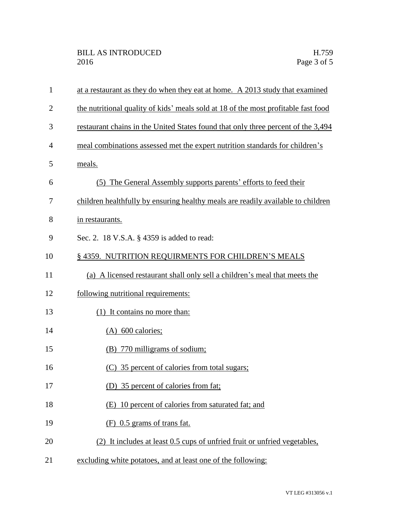| 1              | at a restaurant as they do when they eat at home. A 2013 study that examined       |
|----------------|------------------------------------------------------------------------------------|
| $\overline{c}$ | the nutritional quality of kids' meals sold at 18 of the most profitable fast food |
| 3              | restaurant chains in the United States found that only three percent of the 3,494  |
| 4              | meal combinations assessed met the expert nutrition standards for children's       |
| 5              | meals.                                                                             |
| 6              | (5) The General Assembly supports parents' efforts to feed their                   |
| 7              | children healthfully by ensuring healthy meals are readily available to children   |
| 8              | in restaurants.                                                                    |
| 9              | Sec. 2. 18 V.S.A. § 4359 is added to read:                                         |
| 10             | §4359. NUTRITION REQUIRMENTS FOR CHILDREN'S MEALS                                  |
| 11             | (a) A licensed restaurant shall only sell a children's meal that meets the         |
| 12             | following nutritional requirements:                                                |
| 13             | (1) It contains no more than:                                                      |
| 14             | $(A)$ 600 calories;                                                                |
| 15             | (B) 770 milligrams of sodium;                                                      |
| 16             | (C) 35 percent of calories from total sugars;                                      |
| 17             | (D) 35 percent of calories from fat;                                               |
| 18             | (E) 10 percent of calories from saturated fat; and                                 |
| 19             | $(F)$ 0.5 grams of trans fat.                                                      |
| 20             | (2) It includes at least 0.5 cups of unfried fruit or unfried vegetables,          |
| 21             | excluding white potatoes, and at least one of the following:                       |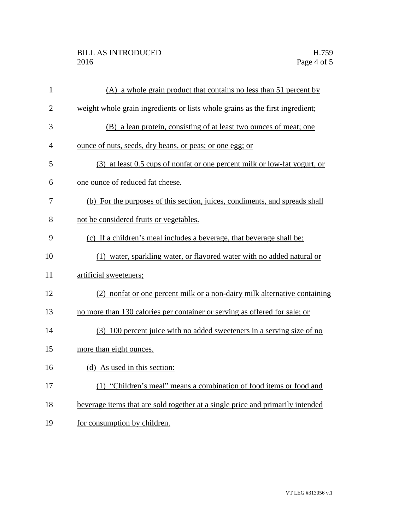## BILL AS INTRODUCED H.759 2016 Page 4 of 5

| $\mathbf{1}$   | (A) a whole grain product that contains no less than 51 percent by             |
|----------------|--------------------------------------------------------------------------------|
| $\overline{2}$ | weight whole grain ingredients or lists whole grains as the first ingredient;  |
| 3              | (B) a lean protein, consisting of at least two ounces of meat; one             |
| $\overline{4}$ | <u>ounce of nuts, seeds, dry beans, or peas; or one egg; or</u>                |
| 5              | (3) at least 0.5 cups of nonfat or one percent milk or low-fat yogurt, or      |
| 6              | one ounce of reduced fat cheese.                                               |
| 7              | (b) For the purposes of this section, juices, condiments, and spreads shall    |
| 8              | not be considered fruits or vegetables.                                        |
| 9              | (c) If a children's meal includes a beverage, that beverage shall be:          |
| 10             | (1) water, sparkling water, or flavored water with no added natural or         |
| 11             | artificial sweeteners;                                                         |
| 12             | (2) nonfat or one percent milk or a non-dairy milk alternative containing      |
| 13             | no more than 130 calories per container or serving as offered for sale; or     |
| 14             | (3) 100 percent juice with no added sweeteners in a serving size of no         |
| 15             | more than eight ounces.                                                        |
| 16             | (d) As used in this section:                                                   |
| 17             | (1) "Children's meal" means a combination of food items or food and            |
| 18             | beverage items that are sold together at a single price and primarily intended |
| 19             | for consumption by children.                                                   |